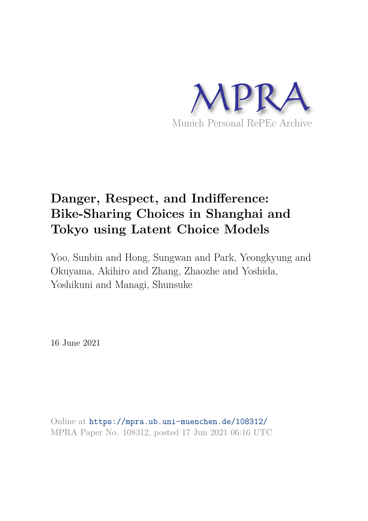

# **Danger, Respect, and Indifference: Bike-Sharing Choices in Shanghai and Tokyo using Latent Choice Models**

Yoo, Sunbin and Hong, Sungwan and Park, Yeongkyung and Okuyama, Akihiro and Zhang, Zhaozhe and Yoshida, Yoshikuni and Managi, Shunsuke

16 June 2021

Online at https://mpra.ub.uni-muenchen.de/108312/ MPRA Paper No. 108312, posted 17 Jun 2021 06:16 UTC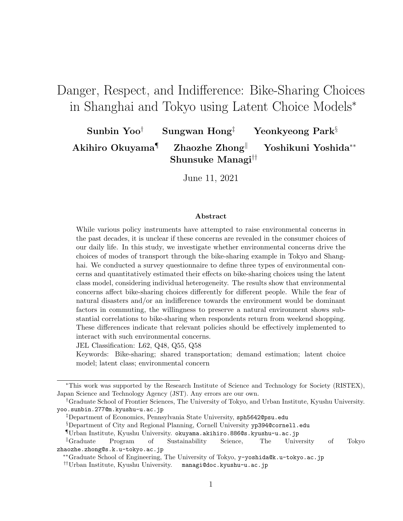# Danger, Respect, and Indifference: Bike-Sharing Choices in Shanghai and Tokyo using Latent Choice Models<sup>∗</sup>

Sunbin Yoo<sup>†</sup> Sungwan Hong<sup>‡</sup> Yeonkyeong Park<sup>§</sup> Akihiro Okuyama<sup>¶</sup> Zhaozhe Zhong<sup>||</sup> Yoshikuni Yoshida<sup>∗∗</sup> Shunsuke Managi††

June 11, 2021

#### Abstract

While various policy instruments have attempted to raise environmental concerns in the past decades, it is unclear if these concerns are revealed in the consumer choices of our daily life. In this study, we investigate whether environmental concerns drive the choices of modes of transport through the bike-sharing example in Tokyo and Shanghai. We conducted a survey questionnaire to define three types of environmental concerns and quantitatively estimated their effects on bike-sharing choices using the latent class model, considering individual heterogeneity. The results show that environmental concerns affect bike-sharing choices differently for different people. While the fear of natural disasters and/or an indifference towards the environment would be dominant factors in commuting, the willingness to preserve a natural environment shows substantial correlations to bike-sharing when respondents return from weekend shopping. These differences indicate that relevant policies should be effectively implemented to interact with such environmental concerns.

JEL Classification: L62, Q48, Q55, Q58

Keywords: Bike-sharing; shared transportation; demand estimation; latent choice model; latent class; environmental concern

<sup>∗</sup>This work was supported by the Research Institute of Science and Technology for Society (RISTEX), Japan Science and Technology Agency (JST). Any errors are our own.

<sup>†</sup>Graduate School of Frontier Sciences, The University of Tokyo, and Urban Institute, Kyushu University. yoo.sunbin.277@m.kyushu-u.ac.jp

<sup>‡</sup>Department of Economics, Pennsylvania State University, sph5642@psu.edu

<sup>§</sup>Department of City and Regional Planning, Cornell University yp394@cornell.edu

<sup>¶</sup>Urban Institute, Kyushu University. okuyama.akihiro.886@s.kyushu-u.ac.jp

<sup>k</sup>Graduate Program of Sustainability Science, The University of Tokyo zhaozhe.zhong@s.k.u-tokyo.ac.jp

<sup>∗∗</sup>Graduate School of Engineering, The University of Tokyo, y-yoshida@k.u-tokyo.ac.jp

<sup>††</sup>Urban Institute, Kyushu University. managi@doc.kyushu-u.ac.jp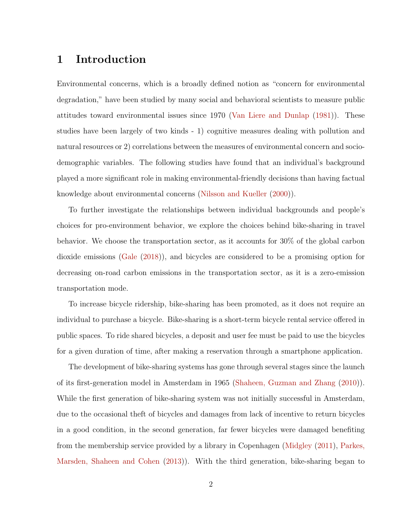## 1 Introduction

Environmental concerns, which is a broadly defined notion as "concern for environmental degradation," have been studied by many social and behavioral scientists to measure public attitudes toward environmental issues since 1970 (Van Liere and Dunlap (1981)). These studies have been largely of two kinds - 1) cognitive measures dealing with pollution and natural resources or 2) correlations between the measures of environmental concern and sociodemographic variables. The following studies have found that an individual's background played a more significant role in making environmental-friendly decisions than having factual knowledge about environmental concerns (Nilsson and Kueller (2000)).

To further investigate the relationships between individual backgrounds and people's choices for pro-environment behavior, we explore the choices behind bike-sharing in travel behavior. We choose the transportation sector, as it accounts for 30% of the global carbon dioxide emissions (Gale (2018)), and bicycles are considered to be a promising option for decreasing on-road carbon emissions in the transportation sector, as it is a zero-emission transportation mode.

To increase bicycle ridership, bike-sharing has been promoted, as it does not require an individual to purchase a bicycle. Bike-sharing is a short-term bicycle rental service offered in public spaces. To ride shared bicycles, a deposit and user fee must be paid to use the bicycles for a given duration of time, after making a reservation through a smartphone application.

The development of bike-sharing systems has gone through several stages since the launch of its first-generation model in Amsterdam in 1965 (Shaheen, Guzman and Zhang (2010)). While the first generation of bike-sharing system was not initially successful in Amsterdam, due to the occasional theft of bicycles and damages from lack of incentive to return bicycles in a good condition, in the second generation, far fewer bicycles were damaged benefiting from the membership service provided by a library in Copenhagen (Midgley (2011), Parkes, Marsden, Shaheen and Cohen (2013)). With the third generation, bike-sharing began to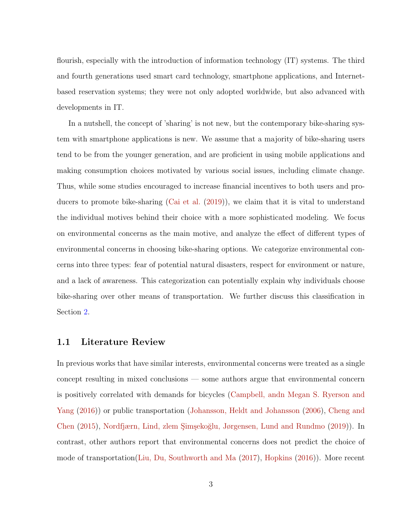flourish, especially with the introduction of information technology (IT) systems. The third and fourth generations used smart card technology, smartphone applications, and Internetbased reservation systems; they were not only adopted worldwide, but also advanced with developments in IT.

In a nutshell, the concept of 'sharing' is not new, but the contemporary bike-sharing system with smartphone applications is new. We assume that a majority of bike-sharing users tend to be from the younger generation, and are proficient in using mobile applications and making consumption choices motivated by various social issues, including climate change. Thus, while some studies encouraged to increase financial incentives to both users and producers to promote bike-sharing (Cai et al. (2019)), we claim that it is vital to understand the individual motives behind their choice with a more sophisticated modeling. We focus on environmental concerns as the main motive, and analyze the effect of different types of environmental concerns in choosing bike-sharing options. We categorize environmental concerns into three types: fear of potential natural disasters, respect for environment or nature, and a lack of awareness. This categorization can potentially explain why individuals choose bike-sharing over other means of transportation. We further discuss this classification in Section 2.

#### 1.1 Literature Review

In previous works that have similar interests, environmental concerns were treated as a single concept resulting in mixed conclusions — some authors argue that environmental concern is positively correlated with demands for bicycles (Campbell, andn Megan S. Ryerson and Yang (2016)) or public transportation (Johansson, Heldt and Johansson (2006), Cheng and Chen (2015), Nordfjærn, Lind, zlem Simsekoğlu, Jørgensen, Lund and Rundmo (2019)). In contrast, other authors report that environmental concerns does not predict the choice of mode of transportation(Liu, Du, Southworth and Ma (2017), Hopkins (2016)). More recent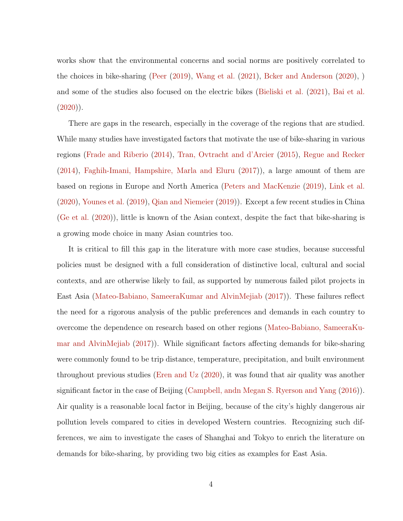works show that the environmental concerns and social norms are positively correlated to the choices in bike-sharing (Peer (2019), Wang et al. (2021), Bcker and Anderson (2020), ) and some of the studies also focused on the electric bikes (Bieliski et al. (2021), Bai et al.  $(2020)$ ).

There are gaps in the research, especially in the coverage of the regions that are studied. While many studies have investigated factors that motivate the use of bike-sharing in various regions (Frade and Riberio (2014), Tran, Ovtracht and d'Arcier (2015), Regue and Recker (2014), Faghih-Imani, Hampshire, Marla and Eluru (2017)), a large amount of them are based on regions in Europe and North America (Peters and MacKenzie (2019), Link et al. (2020), Younes et al. (2019), Qian and Niemeier (2019)). Except a few recent studies in China (Ge et al. (2020)), little is known of the Asian context, despite the fact that bike-sharing is a growing mode choice in many Asian countries too.

It is critical to fill this gap in the literature with more case studies, because successful policies must be designed with a full consideration of distinctive local, cultural and social contexts, and are otherwise likely to fail, as supported by numerous failed pilot projects in East Asia (Mateo-Babiano, SameeraKumar and AlvinMejiab (2017)). These failures reflect the need for a rigorous analysis of the public preferences and demands in each country to overcome the dependence on research based on other regions (Mateo-Babiano, SameeraKumar and AlvinMejiab (2017)). While significant factors affecting demands for bike-sharing were commonly found to be trip distance, temperature, precipitation, and built environment throughout previous studies (Eren and Uz (2020), it was found that air quality was another significant factor in the case of Beijing (Campbell, andn Megan S. Ryerson and Yang (2016)). Air quality is a reasonable local factor in Beijing, because of the city's highly dangerous air pollution levels compared to cities in developed Western countries. Recognizing such differences, we aim to investigate the cases of Shanghai and Tokyo to enrich the literature on demands for bike-sharing, by providing two big cities as examples for East Asia.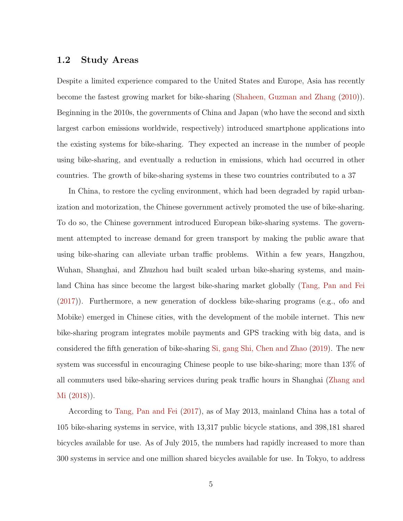#### 1.2 Study Areas

Despite a limited experience compared to the United States and Europe, Asia has recently become the fastest growing market for bike-sharing (Shaheen, Guzman and Zhang (2010)). Beginning in the 2010s, the governments of China and Japan (who have the second and sixth largest carbon emissions worldwide, respectively) introduced smartphone applications into the existing systems for bike-sharing. They expected an increase in the number of people using bike-sharing, and eventually a reduction in emissions, which had occurred in other countries. The growth of bike-sharing systems in these two countries contributed to a 37

In China, to restore the cycling environment, which had been degraded by rapid urbanization and motorization, the Chinese government actively promoted the use of bike-sharing. To do so, the Chinese government introduced European bike-sharing systems. The government attempted to increase demand for green transport by making the public aware that using bike-sharing can alleviate urban traffic problems. Within a few years, Hangzhou, Wuhan, Shanghai, and Zhuzhou had built scaled urban bike-sharing systems, and mainland China has since become the largest bike-sharing market globally (Tang, Pan and Fei (2017)). Furthermore, a new generation of dockless bike-sharing programs (e.g., ofo and Mobike) emerged in Chinese cities, with the development of the mobile internet. This new bike-sharing program integrates mobile payments and GPS tracking with big data, and is considered the fifth generation of bike-sharing Si, gang Shi, Chen and Zhao (2019). The new system was successful in encouraging Chinese people to use bike-sharing; more than 13% of all commuters used bike-sharing services during peak traffic hours in Shanghai (Zhang and Mi (2018)).

According to Tang, Pan and Fei (2017), as of May 2013, mainland China has a total of 105 bike-sharing systems in service, with 13,317 public bicycle stations, and 398,181 shared bicycles available for use. As of July 2015, the numbers had rapidly increased to more than 300 systems in service and one million shared bicycles available for use. In Tokyo, to address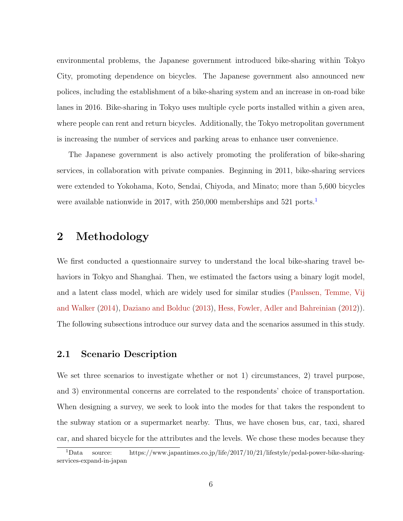environmental problems, the Japanese government introduced bike-sharing within Tokyo City, promoting dependence on bicycles. The Japanese government also announced new polices, including the establishment of a bike-sharing system and an increase in on-road bike lanes in 2016. Bike-sharing in Tokyo uses multiple cycle ports installed within a given area, where people can rent and return bicycles. Additionally, the Tokyo metropolitan government is increasing the number of services and parking areas to enhance user convenience.

The Japanese government is also actively promoting the proliferation of bike-sharing services, in collaboration with private companies. Beginning in 2011, bike-sharing services were extended to Yokohama, Koto, Sendai, Chiyoda, and Minato; more than 5,600 bicycles were available nationwide in 2017, with 250,000 memberships and 521 ports.<sup>1</sup>

## 2 Methodology

We first conducted a questionnaire survey to understand the local bike-sharing travel behaviors in Tokyo and Shanghai. Then, we estimated the factors using a binary logit model, and a latent class model, which are widely used for similar studies (Paulssen, Temme, Vij and Walker (2014), Daziano and Bolduc (2013), Hess, Fowler, Adler and Bahreinian (2012)). The following subsections introduce our survey data and the scenarios assumed in this study.

### 2.1 Scenario Description

We set three scenarios to investigate whether or not 1) circumstances, 2) travel purpose, and 3) environmental concerns are correlated to the respondents' choice of transportation. When designing a survey, we seek to look into the modes for that takes the respondent to the subway station or a supermarket nearby. Thus, we have chosen bus, car, taxi, shared car, and shared bicycle for the attributes and the levels. We chose these modes because they

<sup>1</sup>Data source: https://www.japantimes.co.jp/life/2017/10/21/lifestyle/pedal-power-bike-sharingservices-expand-in-japan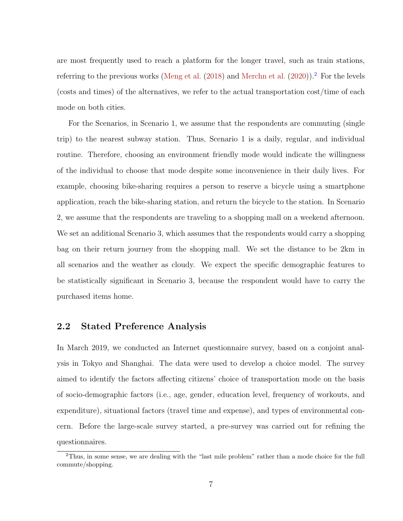are most frequently used to reach a platform for the longer travel, such as train stations, referring to the previous works (Meng et al.  $(2018)$  and Merchn et al.  $(2020)$ ).<sup>2</sup> For the levels (costs and times) of the alternatives, we refer to the actual transportation cost/time of each mode on both cities.

For the Scenarios, in Scenario 1, we assume that the respondents are commuting (single trip) to the nearest subway station. Thus, Scenario 1 is a daily, regular, and individual routine. Therefore, choosing an environment friendly mode would indicate the willingness of the individual to choose that mode despite some inconvenience in their daily lives. For example, choosing bike-sharing requires a person to reserve a bicycle using a smartphone application, reach the bike-sharing station, and return the bicycle to the station. In Scenario 2, we assume that the respondents are traveling to a shopping mall on a weekend afternoon. We set an additional Scenario 3, which assumes that the respondents would carry a shopping bag on their return journey from the shopping mall. We set the distance to be 2km in all scenarios and the weather as cloudy. We expect the specific demographic features to be statistically significant in Scenario 3, because the respondent would have to carry the purchased items home.

### 2.2 Stated Preference Analysis

In March 2019, we conducted an Internet questionnaire survey, based on a conjoint analysis in Tokyo and Shanghai. The data were used to develop a choice model. The survey aimed to identify the factors affecting citizens' choice of transportation mode on the basis of socio-demographic factors (i.e., age, gender, education level, frequency of workouts, and expenditure), situational factors (travel time and expense), and types of environmental concern. Before the large-scale survey started, a pre-survey was carried out for refining the questionnaires.

<sup>&</sup>lt;sup>2</sup>Thus, in some sense, we are dealing with the "last mile problem" rather than a mode choice for the full commute/shopping.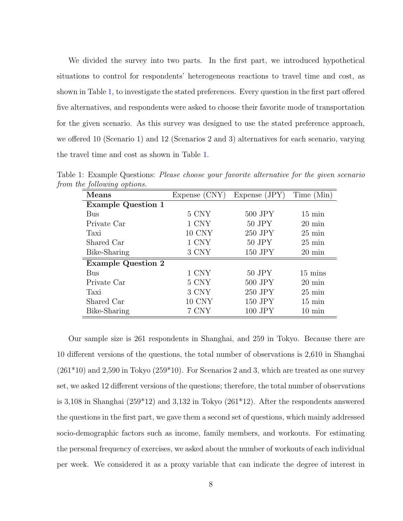We divided the survey into two parts. In the first part, we introduced hypothetical situations to control for respondents' heterogeneous reactions to travel time and cost, as shown in Table 1, to investigate the stated preferences. Every question in the first part offered five alternatives, and respondents were asked to choose their favorite mode of transportation for the given scenario. As this survey was designed to use the stated preference approach, we offered 10 (Scenario 1) and 12 (Scenarios 2 and 3) alternatives for each scenario, varying the travel time and cost as shown in Table 1.

| <b>Means</b>              | Expense (CNY) | Expense (JPY) | Time (Min)          |
|---------------------------|---------------|---------------|---------------------|
| <b>Example Question 1</b> |               |               |                     |
| Bus                       | 5 CNY         | $500$ JPY     | $15 \text{ min}$    |
| Private Car               | 1 CNY         | $50$ JPY      | $20 \text{ min}$    |
| Taxi                      | 10 CNY        | 250 JPY       | $25 \text{ min}$    |
| Shared Car                | 1 CNY         | $50$ JPY      | $25 \,\mathrm{min}$ |
| Bike-Sharing              | 3 CNY         | 150 JPY       | $20 \text{ min}$    |
| <b>Example Question 2</b> |               |               |                     |
| <b>Bus</b>                | 1 CNY         | $50$ JPY      | $15 \text{ mins}$   |
| Private Car               | 5 CNY         | 500 JPY       | $20 \text{ min}$    |
| Taxi                      | 3 CNY         | 250 JPY       | $25 \text{ min}$    |
| Shared Car                | 10 CNY        | 150 JPY       | $15 \text{ min}$    |
| Bike-Sharing              | 7 CNY         | 100 JPY       | $10 \text{ min}$    |

Table 1: Example Questions: Please choose your favorite alternative for the given scenario from the following options.

Our sample size is 261 respondents in Shanghai, and 259 in Tokyo. Because there are 10 different versions of the questions, the total number of observations is 2,610 in Shanghai  $(261*10)$  and 2,590 in Tokyo  $(259*10)$ . For Scenarios 2 and 3, which are treated as one survey set, we asked 12 different versions of the questions; therefore, the total number of observations is 3,108 in Shanghai (259\*12) and 3,132 in Tokyo (261\*12). After the respondents answered the questions in the first part, we gave them a second set of questions, which mainly addressed socio-demographic factors such as income, family members, and workouts. For estimating the personal frequency of exercises, we asked about the number of workouts of each individual per week. We considered it as a proxy variable that can indicate the degree of interest in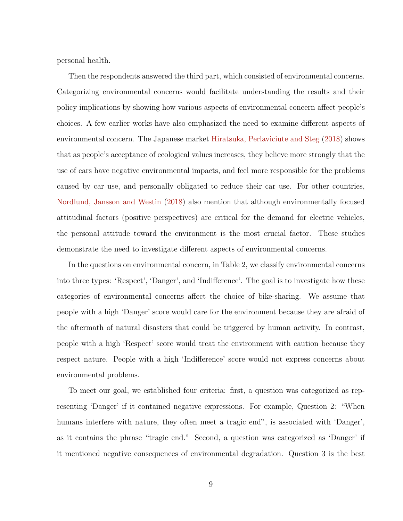personal health.

Then the respondents answered the third part, which consisted of environmental concerns. Categorizing environmental concerns would facilitate understanding the results and their policy implications by showing how various aspects of environmental concern affect people's choices. A few earlier works have also emphasized the need to examine different aspects of environmental concern. The Japanese market Hiratsuka, Perlaviciute and Steg (2018) shows that as people's acceptance of ecological values increases, they believe more strongly that the use of cars have negative environmental impacts, and feel more responsible for the problems caused by car use, and personally obligated to reduce their car use. For other countries, Nordlund, Jansson and Westin (2018) also mention that although environmentally focused attitudinal factors (positive perspectives) are critical for the demand for electric vehicles, the personal attitude toward the environment is the most crucial factor. These studies demonstrate the need to investigate different aspects of environmental concerns.

In the questions on environmental concern, in Table 2, we classify environmental concerns into three types: 'Respect', 'Danger', and 'Indifference'. The goal is to investigate how these categories of environmental concerns affect the choice of bike-sharing. We assume that people with a high 'Danger' score would care for the environment because they are afraid of the aftermath of natural disasters that could be triggered by human activity. In contrast, people with a high 'Respect' score would treat the environment with caution because they respect nature. People with a high 'Indifference' score would not express concerns about environmental problems.

To meet our goal, we established four criteria: first, a question was categorized as representing 'Danger' if it contained negative expressions. For example, Question 2: "When humans interfere with nature, they often meet a tragic end", is associated with 'Danger', as it contains the phrase "tragic end." Second, a question was categorized as 'Danger' if it mentioned negative consequences of environmental degradation. Question 3 is the best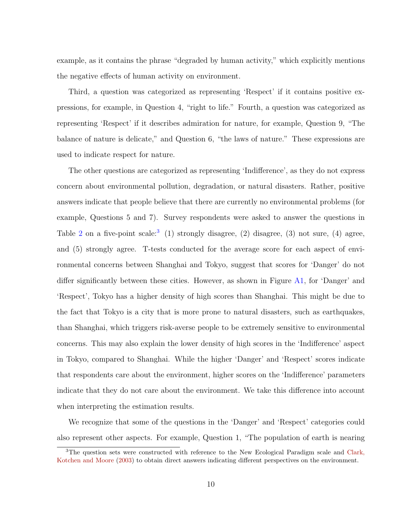example, as it contains the phrase "degraded by human activity," which explicitly mentions the negative effects of human activity on environment.

Third, a question was categorized as representing 'Respect' if it contains positive expressions, for example, in Question 4, "right to life." Fourth, a question was categorized as representing 'Respect' if it describes admiration for nature, for example, Question 9, "The balance of nature is delicate," and Question 6, "the laws of nature." These expressions are used to indicate respect for nature.

The other questions are categorized as representing 'Indifference', as they do not express concern about environmental pollution, degradation, or natural disasters. Rather, positive answers indicate that people believe that there are currently no environmental problems (for example, Questions 5 and 7). Survey respondents were asked to answer the questions in Table 2 on a five-point scale:<sup>3</sup> (1) strongly disagree, (2) disagree, (3) not sure, (4) agree, and (5) strongly agree. T-tests conducted for the average score for each aspect of environmental concerns between Shanghai and Tokyo, suggest that scores for 'Danger' do not differ significantly between these cities. However, as shown in Figure A1, for 'Danger' and 'Respect', Tokyo has a higher density of high scores than Shanghai. This might be due to the fact that Tokyo is a city that is more prone to natural disasters, such as earthquakes, than Shanghai, which triggers risk-averse people to be extremely sensitive to environmental concerns. This may also explain the lower density of high scores in the 'Indifference' aspect in Tokyo, compared to Shanghai. While the higher 'Danger' and 'Respect' scores indicate that respondents care about the environment, higher scores on the 'Indifference' parameters indicate that they do not care about the environment. We take this difference into account when interpreting the estimation results.

We recognize that some of the questions in the 'Danger' and 'Respect' categories could also represent other aspects. For example, Question 1, "The population of earth is nearing

<sup>&</sup>lt;sup>3</sup>The question sets were constructed with reference to the New Ecological Paradigm scale and Clark, Kotchen and Moore (2003) to obtain direct answers indicating different perspectives on the environment.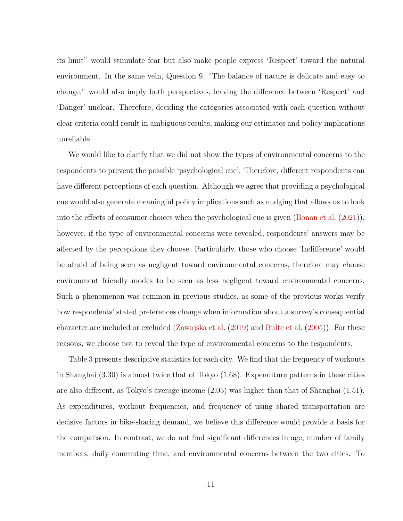its limit" would stimulate fear but also make people express 'Respect' toward the natural environment. In the same vein, Question 9, "The balance of nature is delicate and easy to change," would also imply both perspectives, leaving the difference between 'Respect' and 'Danger' unclear. Therefore, deciding the categories associated with each question without clear criteria could result in ambiguous results, making our estimates and policy implications unreliable.

We would like to clarify that we did not show the types of environmental concerns to the respondents to prevent the possible 'psychological cue'. Therefore, different respondents can have different perceptions of each question. Although we agree that providing a psychological cue would also generate meaningful policy implications such as nudging that allows us to look into the effects of consumer choices when the psychological cue is given (Bonan et al. (2021)), however, if the type of environmental concerns were revealed, respondents' answers may be affected by the perceptions they choose. Particularly, those who choose 'Indifference' would be afraid of being seen as negligent toward environmental concerns, therefore may choose environment friendly modes to be seen as less negligent toward environmental concerns. Such a phenomenon was common in previous studies, as some of the previous works verify how respondents' stated preferences change when information about a survey's consequential character are included or excluded (Zawojska et al. (2019) and Bulte et al. (2005)). For these reasons, we choose not to reveal the type of environmental concerns to the respondents.

Table 3 presents descriptive statistics for each city. We find that the frequency of workouts in Shanghai (3.30) is almost twice that of Tokyo (1.68). Expenditure patterns in these cities are also different, as Tokyo's average income (2.05) was higher than that of Shanghai (1.51). As expenditures, workout frequencies, and frequency of using shared transportation are decisive factors in bike-sharing demand, we believe this difference would provide a basis for the comparison. In contrast, we do not find significant differences in age, number of family members, daily commuting time, and environmental concerns between the two cities. To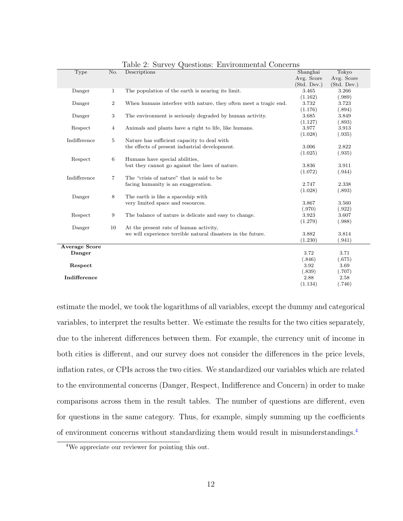| Type                 | No.            | Descriptions                                                     | Shanghai    | Tokyo       |  |
|----------------------|----------------|------------------------------------------------------------------|-------------|-------------|--|
|                      |                |                                                                  | Avg. Score  | Avg. Score  |  |
|                      |                |                                                                  | (Std. Dev.) | (Std. Dev.) |  |
| Danger               | $\mathbf{1}$   | The population of the earth is nearing its limit.                | 3.465       | 3.266       |  |
|                      |                |                                                                  | (1.162)     | (.989)      |  |
| Danger               | $\overline{2}$ | When humans interfere with nature, they often meet a tragic end. | 3.732       | 3.723       |  |
|                      |                |                                                                  | (1.176)     | (.894)      |  |
| Danger               | 3              | The environment is seriously degraded by human activity.         | 3.685       | 3.849       |  |
|                      |                |                                                                  | (1.127)     | (.893)      |  |
| Respect              | $\overline{4}$ | Animals and plants have a right to life, like humans.            | 3.977       | 3.913       |  |
|                      |                |                                                                  | (1.028)     | (.935)      |  |
| Indifference         | 5              | Nature has sufficient capacity to deal with                      |             |             |  |
|                      |                | the effects of present industrial development.                   | 3.006       | 2.822       |  |
|                      |                |                                                                  | (1.025)     | (.935)      |  |
| Respect              | 6              | Humans have special abilities,                                   |             |             |  |
|                      |                | but they cannot go against the laws of nature.                   | 3.836       | 3.911       |  |
|                      |                |                                                                  | (1.072)     | (.944)      |  |
| Indifference         | 7              | The "crisis of nature" that is said to be                        |             |             |  |
|                      |                | facing humanity is an exaggeration.                              | 2.747       | 2.338       |  |
|                      |                |                                                                  | (1.028)     | (.893)      |  |
| Danger               | 8              | The earth is like a spaceship with                               |             |             |  |
|                      |                | very limited space and resources.                                | 3.867       | 3.560       |  |
|                      |                |                                                                  | (.970)      | (.922)      |  |
| Respect              | 9              | The balance of nature is delicate and easy to change.            | 3.923       | 3.607       |  |
|                      |                |                                                                  | (1.279)     | (.988)      |  |
| Danger               | 10             | At the present rate of human activity,                           |             |             |  |
|                      |                | we will experience terrible natural disasters in the future.     | 3.882       | 3.814       |  |
|                      |                |                                                                  | (1.230)     | (.941)      |  |
| <b>Average Score</b> |                |                                                                  |             |             |  |
| Danger               |                |                                                                  | 3.72        | 3.71        |  |
|                      |                |                                                                  | (.846)      | (.675)      |  |
| Respect              |                |                                                                  | 3.92        | 3.69        |  |
|                      |                |                                                                  | (.839)      | (.707)      |  |
| Indifference         |                |                                                                  | 2.88        | 2.58        |  |
|                      |                |                                                                  | (1.134)     | (.746)      |  |
|                      |                |                                                                  |             |             |  |

Table 2: Survey Questions: Environmental Concerns

estimate the model, we took the logarithms of all variables, except the dummy and categorical variables, to interpret the results better. We estimate the results for the two cities separately, due to the inherent differences between them. For example, the currency unit of income in both cities is different, and our survey does not consider the differences in the price levels, inflation rates, or CPIs across the two cities. We standardized our variables which are related to the environmental concerns (Danger, Respect, Indifference and Concern) in order to make comparisons across them in the result tables. The number of questions are different, even for questions in the same category. Thus, for example, simply summing up the coefficients of environment concerns without standardizing them would result in misunderstandings.<sup>4</sup>

<sup>4</sup>We appreciate our reviewer for pointing this out.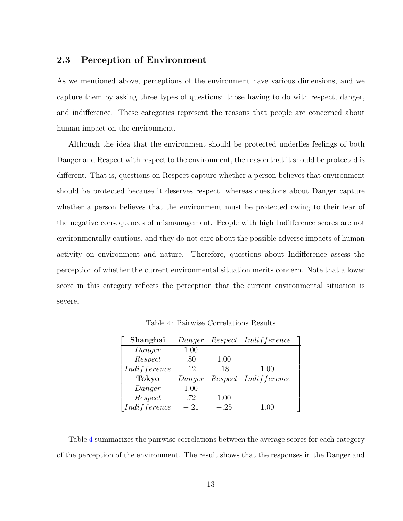#### 2.3 Perception of Environment

As we mentioned above, perceptions of the environment have various dimensions, and we capture them by asking three types of questions: those having to do with respect, danger, and indifference. These categories represent the reasons that people are concerned about human impact on the environment.

Although the idea that the environment should be protected underlies feelings of both Danger and Respect with respect to the environment, the reason that it should be protected is different. That is, questions on Respect capture whether a person believes that environment should be protected because it deserves respect, whereas questions about Danger capture whether a person believes that the environment must be protected owing to their fear of the negative consequences of mismanagement. People with high Indifference scores are not environmentally cautious, and they do not care about the possible adverse impacts of human activity on environment and nature. Therefore, questions about Indifference assess the perception of whether the current environmental situation merits concern. Note that a lower score in this category reflects the perception that the current environmental situation is severe.

Table 4: Pairwise Correlations Results

| Shanghai     | Danger |      | Respect Indifference |
|--------------|--------|------|----------------------|
| Danger       | 1.00   |      |                      |
| Respect      | .80    | 1.00 |                      |
| Indifference | .12    | .18  | 1.00                 |
|              |        |      |                      |
| Tokyo        | Danger |      | Respect Indifference |
| Danger       | 1.00   |      |                      |
| Respect      | .72    | 1.00 |                      |

Table 4 summarizes the pairwise correlations between the average scores for each category of the perception of the environment. The result shows that the responses in the Danger and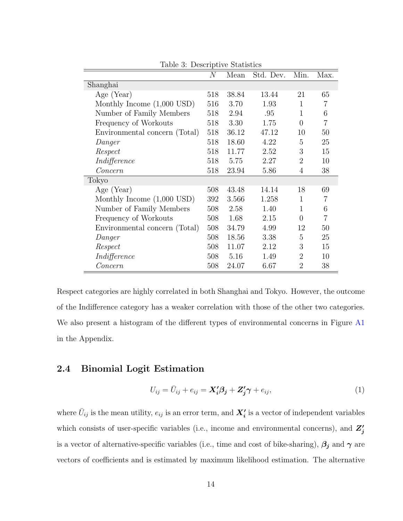|                               | $\overline{N}$ | Mean  | Std. Dev. | Min.           | Max. |
|-------------------------------|----------------|-------|-----------|----------------|------|
| Shanghai                      |                |       |           |                |      |
| Age (Year)                    | 518            | 38.84 | 13.44     | 21             | 65   |
| Monthly Income $(1,000$ USD)  | 516            | 3.70  | 1.93      | 1              | 7    |
| Number of Family Members      | 518            | 2.94  | .95       | $\mathbf{1}$   | 6    |
| Frequency of Workouts         | 518            | 3.30  | 1.75      | $\overline{0}$ | 7    |
| Environmental concern (Total) | 518            | 36.12 | 47.12     | 10             | 50   |
| Danger                        | 518            | 18.60 | 4.22      | 5              | 25   |
| Respect                       | 518            | 11.77 | 2.52      | 3              | 15   |
| Indifference                  | 518            | 5.75  | 2.27      | $\overline{2}$ | 10   |
| $\it Concern$                 | 518            | 23.94 | 5.86      | 4              | 38   |
| Tokyo                         |                |       |           |                |      |
| Age (Year)                    | 508            | 43.48 | 14.14     | 18             | 69   |
| Monthly Income $(1,000$ USD)  | 392            | 3.566 | 1.258     | $\mathbf{1}$   | 7    |
| Number of Family Members      | 508            | 2.58  | 1.40      | 1              | 6    |
| Frequency of Workouts         | 508            | 1.68  | 2.15      | $\Omega$       | 7    |
| Environmental concern (Total) | 508            | 34.79 | 4.99      | 12             | 50   |
| Danger                        | 508            | 18.56 | 3.38      | 5              | 25   |
| Respect                       | 508            | 11.07 | 2.12      | 3              | 15   |
| Indifference                  | 508            | 5.16  | 1.49      | $\overline{2}$ | 10   |
| $\it{Concern}$                | 508            | 24.07 | 6.67      | $\overline{2}$ | 38   |

Table 3: Descriptive Statistics

Respect categories are highly correlated in both Shanghai and Tokyo. However, the outcome of the Indifference category has a weaker correlation with those of the other two categories. We also present a histogram of the different types of environmental concerns in Figure A1 in the Appendix.

### 2.4 Binomial Logit Estimation

$$
U_{ij} = \bar{U}_{ij} + e_{ij} = \mathbf{X}'_i \boldsymbol{\beta}_j + \mathbf{Z}'_j \boldsymbol{\gamma} + e_{ij},\tag{1}
$$

where  $\bar{U}_{ij}$  is the mean utility,  $e_{ij}$  is an error term, and  $\bm{X_i'}$  is a vector of independent variables which consists of user-specific variables (i.e., income and environmental concerns), and  $Z'_{j}$ is a vector of alternative-specific variables (i.e., time and cost of bike-sharing),  $\beta_j$  and  $\gamma$  are vectors of coefficients and is estimated by maximum likelihood estimation. The alternative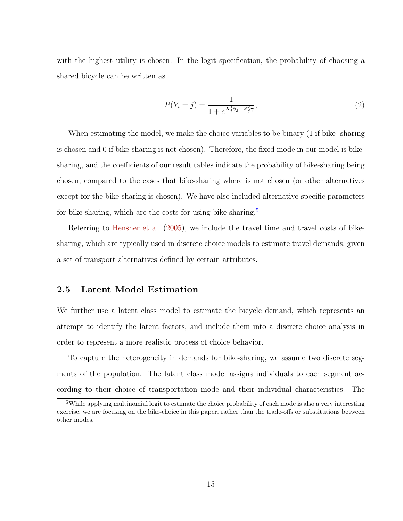with the highest utility is chosen. In the logit specification, the probability of choosing a shared bicycle can be written as

$$
P(Y_i = j) = \frac{1}{1 + e^{\mathbf{X}_i'\boldsymbol{\beta}_j + \mathbf{Z}_j'\boldsymbol{\gamma}}},\tag{2}
$$

When estimating the model, we make the choice variables to be binary (1 if bike- sharing is chosen and 0 if bike-sharing is not chosen). Therefore, the fixed mode in our model is bikesharing, and the coefficients of our result tables indicate the probability of bike-sharing being chosen, compared to the cases that bike-sharing where is not chosen (or other alternatives except for the bike-sharing is chosen). We have also included alternative-specific parameters for bike-sharing, which are the costs for using bike-sharing.<sup>5</sup>

Referring to Hensher et al. (2005), we include the travel time and travel costs of bikesharing, which are typically used in discrete choice models to estimate travel demands, given a set of transport alternatives defined by certain attributes.

#### 2.5 Latent Model Estimation

We further use a latent class model to estimate the bicycle demand, which represents an attempt to identify the latent factors, and include them into a discrete choice analysis in order to represent a more realistic process of choice behavior.

To capture the heterogeneity in demands for bike-sharing, we assume two discrete segments of the population. The latent class model assigns individuals to each segment according to their choice of transportation mode and their individual characteristics. The

<sup>&</sup>lt;sup>5</sup>While applying multinomial logit to estimate the choice probability of each mode is also a very interesting exercise, we are focusing on the bike-choice in this paper, rather than the trade-offs or substitutions between other modes.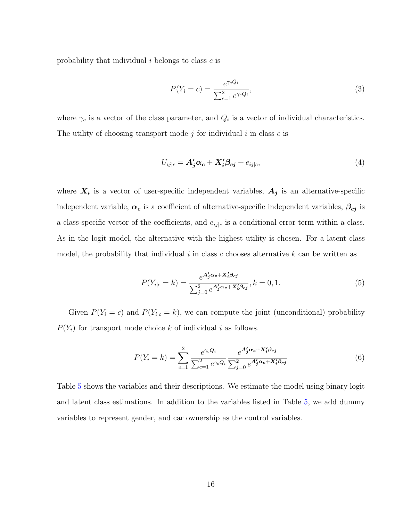probability that individual  $i$  belongs to class  $c$  is

$$
P(Y_i = c) = \frac{e^{\gamma_c Q_i}}{\sum_{c=1}^{2} e^{\gamma_c Q_i}},
$$
\n(3)

where  $\gamma_c$  is a vector of the class parameter, and  $Q_i$  is a vector of individual characteristics. The utility of choosing transport mode  $j$  for individual  $i$  in class  $c$  is

$$
U_{ij|c} = \mathbf{A}'_j \boldsymbol{\alpha}_c + \mathbf{X}'_i \boldsymbol{\beta}_{cj} + e_{ij|c},\tag{4}
$$

where  $X_i$  is a vector of user-specific independent variables,  $A_j$  is an alternative-specific independent variable,  $\alpha_c$  is a coefficient of alternative-specific independent variables,  $\beta_{cj}$  is a class-specific vector of the coefficients, and  $e_{ij|c}$  is a conditional error term within a class. As in the logit model, the alternative with the highest utility is chosen. For a latent class model, the probability that individual  $i$  in class c chooses alternative  $k$  can be written as

$$
P(Y_{i|c}=k) = \frac{e^{\mathbf{A}'_j \alpha_c + \mathbf{X}'_i \beta_{cj}}}{\sum_{j=0}^2 e^{\mathbf{A}'_j \alpha_c + \mathbf{X}'_i \beta_{cj}}}, k=0,1.
$$
 (5)

Given  $P(Y_i = c)$  and  $P(Y_{i|c} = k)$ , we can compute the joint (unconditional) probability  $P(Y_i)$  for transport mode choice k of individual i as follows.

$$
P(Y_i = k) = \sum_{c=1}^{2} \frac{e^{\gamma_c Q_i}}{\sum_{c=1}^{2} e^{\gamma_c Q_i}} \frac{e^{A'_j \alpha_c + X'_i \beta_{cj}}}{\sum_{j=0}^{2} e^{A'_j \alpha_c + X'_i \beta_{cj}}}
$$
(6)

Table 5 shows the variables and their descriptions. We estimate the model using binary logit and latent class estimations. In addition to the variables listed in Table 5, we add dummy variables to represent gender, and car ownership as the control variables.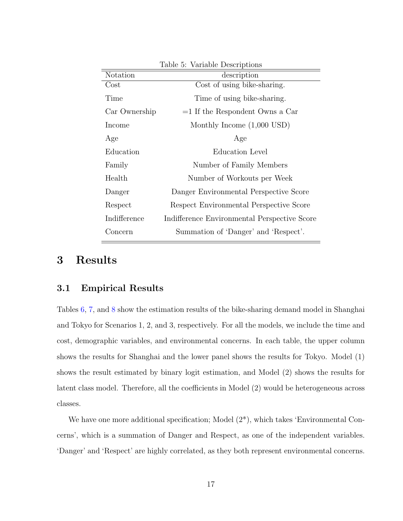|               | $\cdots$                                     |
|---------------|----------------------------------------------|
| Notation      | description                                  |
| $\rm Cost$    | Cost of using bike-sharing.                  |
| Time          | Time of using bike-sharing.                  |
| Car Ownership | $=1$ If the Respondent Owns a Car            |
| Income        | Monthly Income $(1,000$ USD)                 |
| Age           | Age                                          |
| Education     | Education Level                              |
| Family        | Number of Family Members                     |
| Health        | Number of Workouts per Week                  |
| Danger        | Danger Environmental Perspective Score       |
| Respect       | Respect Environmental Perspective Score      |
| Indifference  | Indifference Environmental Perspective Score |
| Concern       | Summation of 'Danger' and 'Respect'.         |
|               |                                              |

Table 5: Variable Descriptions

# 3 Results

#### 3.1 Empirical Results

Tables 6, 7, and 8 show the estimation results of the bike-sharing demand model in Shanghai and Tokyo for Scenarios 1, 2, and 3, respectively. For all the models, we include the time and cost, demographic variables, and environmental concerns. In each table, the upper column shows the results for Shanghai and the lower panel shows the results for Tokyo. Model (1) shows the result estimated by binary logit estimation, and Model (2) shows the results for latent class model. Therefore, all the coefficients in Model (2) would be heterogeneous across classes.

We have one more additional specification; Model  $(2^*)$ , which takes 'Environmental Concerns', which is a summation of Danger and Respect, as one of the independent variables. 'Danger' and 'Respect' are highly correlated, as they both represent environmental concerns.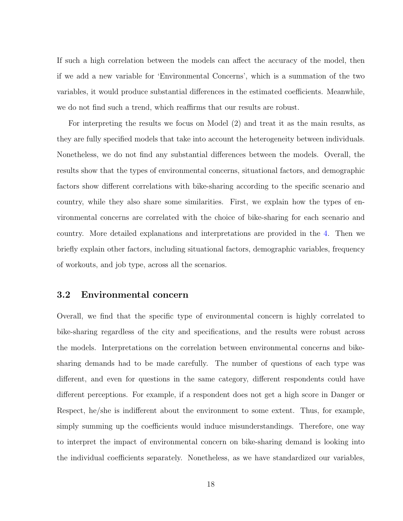If such a high correlation between the models can affect the accuracy of the model, then if we add a new variable for 'Environmental Concerns', which is a summation of the two variables, it would produce substantial differences in the estimated coefficients. Meanwhile, we do not find such a trend, which reaffirms that our results are robust.

For interpreting the results we focus on Model (2) and treat it as the main results, as they are fully specified models that take into account the heterogeneity between individuals. Nonetheless, we do not find any substantial differences between the models. Overall, the results show that the types of environmental concerns, situational factors, and demographic factors show different correlations with bike-sharing according to the specific scenario and country, while they also share some similarities. First, we explain how the types of environmental concerns are correlated with the choice of bike-sharing for each scenario and country. More detailed explanations and interpretations are provided in the 4. Then we briefly explain other factors, including situational factors, demographic variables, frequency of workouts, and job type, across all the scenarios.

#### 3.2 Environmental concern

Overall, we find that the specific type of environmental concern is highly correlated to bike-sharing regardless of the city and specifications, and the results were robust across the models. Interpretations on the correlation between environmental concerns and bikesharing demands had to be made carefully. The number of questions of each type was different, and even for questions in the same category, different respondents could have different perceptions. For example, if a respondent does not get a high score in Danger or Respect, he/she is indifferent about the environment to some extent. Thus, for example, simply summing up the coefficients would induce misunderstandings. Therefore, one way to interpret the impact of environmental concern on bike-sharing demand is looking into the individual coefficients separately. Nonetheless, as we have standardized our variables,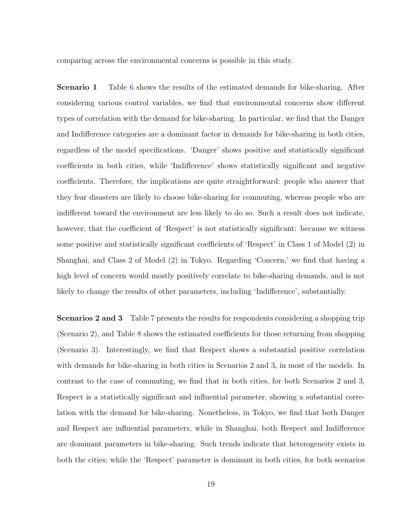comparing across the environmental concerns is possible in this study.

Scenario 1 Table 6 shows the results of the estimated demands for bike-sharing. After considering various control variables, we find that environmental concerns show different types of correlation with the demand for bike-sharing. In particular, we find that the Danger and Indifference categories are a dominant factor in demands for bike-sharing in both cities, regardless of the model specifications. 'Danger' shows positive and statistically significant coefficients in both cities, while 'Indifference' shows statistically significant and negative coefficients. Therefore, the implications are quite straightforward: people who answer that they fear disasters are likely to choose bike-sharing for commuting, whereas people who are indifferent toward the environment are less likely to do so. Such a result does not indicate, however, that the coefficient of 'Respect' is not statistically significant: because we witness some positive and statistically significant coefficients of 'Respect' in Class 1 of Model (2) in Shanghai, and Class 2 of Model (2) in Tokyo. Regarding 'Concern,' we find that having a high level of concern would mostly positively correlate to bike-sharing demands, and is not likely to change the results of other parameters, including 'Indifference', substantially.

Scenarios 2 and 3 Table 7 presents the results for respondents considering a shopping trip (Scenario 2), and Table 8 shows the estimated coefficients for those returning from shopping (Scenario 3). Interestingly, we find that Respect shows a substantial positive correlation with demands for bike-sharing in both cities in Scenarios 2 and 3, in most of the models. In contrast to the case of commuting, we find that in both cities, for both Scenarios 2 and 3, Respect is a statistically significant and influential parameter, showing a substantial correlation with the demand for bike-sharing. Nonetheless, in Tokyo, we find that both Danger and Respect are influential parameters, while in Shanghai, both Respect and Indifference are dominant parameters in bike-sharing. Such trends indicate that heterogeneity exists in both the cities; while the 'Respect' parameter is dominant in both cities, for both scenarios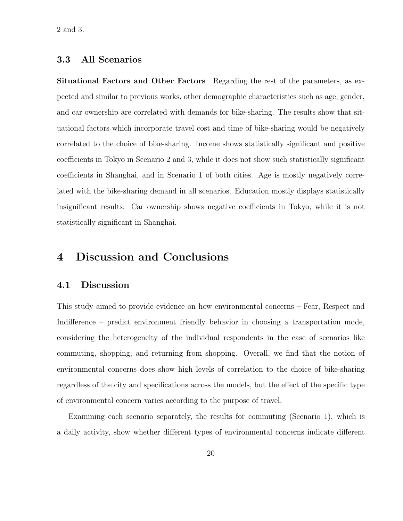### 3.3 All Scenarios

Situational Factors and Other Factors Regarding the rest of the parameters, as expected and similar to previous works, other demographic characteristics such as age, gender, and car ownership are correlated with demands for bike-sharing. The results show that situational factors which incorporate travel cost and time of bike-sharing would be negatively correlated to the choice of bike-sharing. Income shows statistically significant and positive coefficients in Tokyo in Scenario 2 and 3, while it does not show such statistically significant coefficients in Shanghai, and in Scenario 1 of both cities. Age is mostly negatively correlated with the bike-sharing demand in all scenarios. Education mostly displays statistically insignificant results. Car ownership shows negative coefficients in Tokyo, while it is not statistically significant in Shanghai.

## 4 Discussion and Conclusions

#### 4.1 Discussion

This study aimed to provide evidence on how environmental concerns – Fear, Respect and Indifference – predict environment friendly behavior in choosing a transportation mode, considering the heterogeneity of the individual respondents in the case of scenarios like commuting, shopping, and returning from shopping. Overall, we find that the notion of environmental concerns does show high levels of correlation to the choice of bike-sharing regardless of the city and specifications across the models, but the effect of the specific type of environmental concern varies according to the purpose of travel.

Examining each scenario separately, the results for commuting (Scenario 1), which is a daily activity, show whether different types of environmental concerns indicate different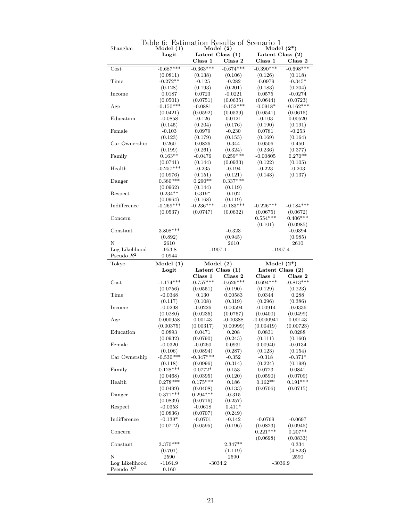|                                |                    | IVIOUTL $(4)$<br>Latent Class $(1)$ |             | $\frac{1}{2}$<br>Latent Class (2) |                  |
|--------------------------------|--------------------|-------------------------------------|-------------|-----------------------------------|------------------|
|                                | Logit              |                                     |             |                                   |                  |
|                                |                    | Class 1                             | Class 2     | Class 1                           | Class 2          |
| Cost                           | $-0.687***$        | $-0.363***$                         | $-0.674***$ | $-0.390***$                       | $-0.698***$      |
|                                | (0.0811)           | (0.138)                             | (0.106)     | (0.126)                           | (0.118)          |
| Time                           | $-0.272**$         | $-0.125$                            | $-0.282$    | $-0.0979$                         | $-0.345*$        |
|                                | (0.128)            | (0.193)                             | (0.201)     | (0.183)                           | (0.204)          |
| Income                         | 0.0187             | 0.0723                              | $-0.0221$   | 0.0575                            | $-0.0274$        |
|                                | (0.0501)           | (0.0751)                            | (0.0635)    | (0.0644)                          | (0.0723)         |
| Age                            | $-0.150***$        | $-0.0881$                           | $-0.152***$ | $-0.0918*$                        | $-0.162***$      |
|                                |                    |                                     |             |                                   |                  |
|                                | (0.0421)           | (0.0592)                            | (0.0539)    | (0.0541)                          | (0.0615)         |
| Education                      | $-0.0858$          | $-0.126$                            | 0.0121      | $-0.103$                          | 0.00520          |
|                                | (0.145)            | (0.204)                             | (0.176)     | (0.190)                           | (0.191)          |
| Female                         | $-0.103$           | 0.0979                              | $-0.230$    | 0.0781                            | $-0.253$         |
|                                | (0.123)            | (0.179)                             | (0.155)     | (0.169)                           | (0.164)          |
| Car Ownership                  | 0.260              | 0.0826                              | 0.344       | 0.0506                            | 0.450            |
|                                | (0.199)            | (0.261)                             | (0.324)     | (0.236)                           | (0.377)          |
| Family                         | $0.163**$          | $-0.0476$                           | $0.259***$  | $-0.00805$                        | $0.270**$        |
|                                | (0.0741)           | (0.144)                             | (0.0933)    | (0.122)                           | (0.105)          |
| Health                         | $-0.257***$        | $-0.235$                            | $-0.194$    | $-0.223$                          | $-0.203$         |
|                                |                    |                                     |             |                                   |                  |
|                                | (0.0976)           | (0.151)                             | (0.121)     | (0.143)                           | (0.137)          |
| Danger                         | $0.380***$         | $0.290**$                           | $0.337***$  |                                   |                  |
|                                | (0.0962)           | (0.144)                             | (0.119)     |                                   |                  |
| Respect                        | $0.234**$          | $0.319*$                            | 0.102       |                                   |                  |
|                                | (0.0964)           | (0.168)                             | (0.119)     |                                   |                  |
| Indifference                   | $-0.269***$        | $-0.236***$                         | $-0.183***$ | $-0.226***$                       | $-0.184***$      |
|                                | (0.0537)           | (0.0747)                            | (0.0632)    | (0.0675)                          | (0.0672)         |
| Concern                        |                    |                                     |             | $0.554***$                        | $0.406***$       |
|                                |                    |                                     |             | (0.101)                           | (0.0985)         |
|                                | $3.808***$         |                                     |             |                                   |                  |
| Constant                       |                    |                                     | $-0.323$    |                                   | $-0.0394$        |
|                                | (0.892)            |                                     | (0.945)     |                                   | (0.985)          |
| Ν                              | 2610               |                                     | 2610        |                                   | 2610             |
| Log Likelihood                 | $-953.8$           |                                     | $-1907.1$   | $-1907.4$                         |                  |
| Pseudo $R^2$                   | 0.0944             |                                     |             |                                   |                  |
| Tokyo                          | Model(1)           |                                     | Model(2)    | Model $(2^*)$                     |                  |
|                                |                    |                                     |             |                                   |                  |
|                                |                    |                                     |             |                                   |                  |
|                                | Logit              | Latent Class $(1)$                  |             |                                   | Latent Class (2) |
|                                |                    | Class 1                             | Class 2     | Class 1                           | Class 2          |
| $\rm Cost$                     | $-1.174***$        | $-0.757***$                         | $-0.626***$ | $-0.694***$                       | $-0.813***$      |
|                                | (0.0756)           | (0.0551)                            | (0.190)     | (0.129)                           | (0.223)          |
| Time                           | $-0.0348$          | 0.130                               | 0.00583     | 0.0344                            | 0.288            |
|                                | (0.117)            | (0.108)                             | (0.319)     | (0.296)                           | (0.386)          |
| Income                         | $-0.0298$          | $-0.0226$                           | 0.00594     | $-0.00914$                        | $-0.0336$        |
|                                | (0.0280)           | (0.0235)                            | (0.0757)    | (0.0400)                          | (0.0499)         |
| Age                            | 0.000958           | 0.00143                             | $-0.00388$  | $-0.0000941$                      | 0.00143          |
|                                | (0.00375)          | (0.00317)                           | (0.00999)   | (0.00419)                         | (0.00723)        |
| Education                      |                    |                                     |             |                                   |                  |
|                                | 0.0893             | 0.0471                              | 0.208       | 0.0831                            | 0.0288           |
|                                | (0.0932)           | (0.0790)                            | (0.245)     | (0.111)                           | (0.160)          |
| Female                         | $-0.0320$          | $-0.0260$                           | 0.0931      | 0.00940                           | $-0.0134$        |
|                                | (0.106)            | (0.0894)                            | (0.287)     | (0.123)                           | (0.154)          |
| Car Ownership                  | $-0.530***$        | $-0.347***$                         | $-0.352$    | $-0.318$                          | $-0.371*$        |
|                                | (0.118)            | (0.0996)                            | (0.314)     | (0.224)                           | (0.198)          |
| Family                         | $0.128***$         | $0.0772*$                           | 0.153       | 0.0723                            | 0.0841           |
|                                | (0.0468)           | (0.0395)                            | (0.120)     | (0.0590)                          | (0.0709)         |
| Health                         | $0.278***$         | $0.175***$                          | 0.186       | $0.162**$                         | $0.191***$       |
|                                | (0.0499)           | (0.0408)                            | (0.133)     | (0.0706)                          | (0.0715)         |
|                                | $0.371***$         | $0.294***$                          |             |                                   |                  |
| Danger                         |                    |                                     | $-0.315$    |                                   |                  |
|                                | (0.0839)           | (0.0716)                            | (0.257)     |                                   |                  |
| Respect                        | $-0.0353$          | $-0.0618$                           | $0.411*$    |                                   |                  |
|                                | (0.0836)           | (0.0707)                            | (0.249)     |                                   |                  |
| Indifference                   | $-0.139*$          | $-0.0701$                           | $-0.142$    | $-0.0769$                         | $-0.0697$        |
|                                | (0.0712)           | (0.0595)                            | (0.196)     | (0.0823)                          | (0.0945)         |
| Concern                        |                    |                                     |             | $0.221***$                        | $0.207**$        |
|                                |                    |                                     |             | (0.0698)                          | (0.0833)         |
| Constant                       | $3.370***$         |                                     | $2.347**$   |                                   | 0.334            |
|                                |                    |                                     | (1.119)     |                                   | (4.823)          |
| Ν                              | (0.701)<br>2590    |                                     | 2590        |                                   | 2590             |
|                                |                    |                                     |             |                                   |                  |
| Log Likelihood<br>Pseudo $R^2$ | $-1164.9$<br>0.160 |                                     | $-3034.2$   | $-3036.9$                         |                  |

Table 6: Estimation Results of Scenario 1<br>
Shanghai Model (1) Model (2) Model (2\*)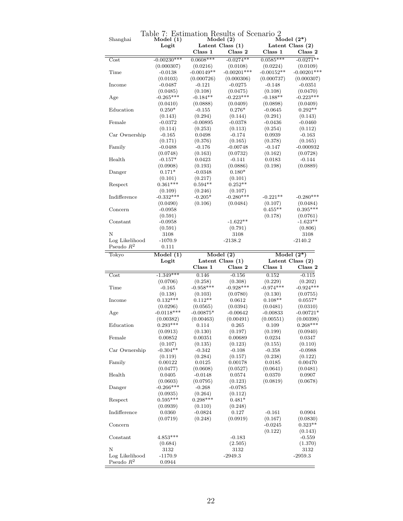| Shanghai       | Model(1)<br>Logit |              | Model(2)<br>Latent Class $(1)$ | Latent Class (2) | Model $(2^*)$                                                                                                                                                                                                                                                                                                                |
|----------------|-------------------|--------------|--------------------------------|------------------|------------------------------------------------------------------------------------------------------------------------------------------------------------------------------------------------------------------------------------------------------------------------------------------------------------------------------|
|                |                   | Class 1      | Class 2                        | $\rm Class~ 1$   | Class 2                                                                                                                                                                                                                                                                                                                      |
| Cost           | $-0.00230***$     | $0.0608***$  | $-0.0274**$                    | $0.0585***$      | $-0.0271**$                                                                                                                                                                                                                                                                                                                  |
|                | (0.000307)        | (0.0216)     | (0.0108)                       | (0.0224)         | (0.0109)                                                                                                                                                                                                                                                                                                                     |
| Time           | $-0.0138$         | $-0.00149**$ | $-0.00201***$                  | $-0.00152**$     | $-0.00201***$                                                                                                                                                                                                                                                                                                                |
|                | (0.0103)          | (0.000726)   | (0.000306)                     | (0.000737)       | (0.000307)                                                                                                                                                                                                                                                                                                                   |
| Income         | $-0.0487$         | $-0.121$     | $-0.0275$                      | $-0.148$         | $-0.0351$                                                                                                                                                                                                                                                                                                                    |
|                | (0.0485)          | (0.108)      | (0.0475)                       | (0.108)          | (0.0470)                                                                                                                                                                                                                                                                                                                     |
| Age            | $-0.265***$       | $-0.184**$   | $-0.223***$                    | $-0.188**$       | $-0.223***$                                                                                                                                                                                                                                                                                                                  |
|                | (0.0410)          | (0.0888)     | (0.0409)                       | (0.0898)         | (0.0409)                                                                                                                                                                                                                                                                                                                     |
| Education      | $0.250*$          | $-0.155$     | $0.276*$                       | $-0.0645$        | $0.292**$                                                                                                                                                                                                                                                                                                                    |
|                | (0.143)           | (0.294)      | (0.144)                        | (0.291)          | (0.143)                                                                                                                                                                                                                                                                                                                      |
| Female         | $-0.0372$         | $-0.00895$   | $-0.0378$                      | $-0.0436$        | $-0.0460$                                                                                                                                                                                                                                                                                                                    |
|                | (0.114)           | (0.253)      | (0.113)                        | (0.254)          | (0.112)                                                                                                                                                                                                                                                                                                                      |
| Car Ownership  | $-0.165$          | 0.0498       | $-0.174$                       | 0.0939           | $-0.163$                                                                                                                                                                                                                                                                                                                     |
|                | (0.171)           | (0.376)      | (0.165)                        | (0.378)          | (0.165)                                                                                                                                                                                                                                                                                                                      |
| Family         | $-0.0488$         | $-0.176$     | $-0.00748$                     | $-0.147$         | $-0.000932$                                                                                                                                                                                                                                                                                                                  |
|                | (0.0748)          | (0.163)      | (0.0732)                       | (0.162)          | (0.0728)                                                                                                                                                                                                                                                                                                                     |
| Health         | $-0.157*$         | 0.0423       | $-0.141$                       | 0.0183           | -0.144                                                                                                                                                                                                                                                                                                                       |
|                | (0.0908)          | (0.193)      | (0.0886)                       | (0.198)          | (0.0889)                                                                                                                                                                                                                                                                                                                     |
| Danger         | $0.171*$          | $-0.0348$    | $0.180*$                       |                  |                                                                                                                                                                                                                                                                                                                              |
|                | (0.101)           | (0.217)      | (0.101)                        |                  |                                                                                                                                                                                                                                                                                                                              |
| Respect        | $0.361***$        | $0.594**$    | $0.252**$                      |                  |                                                                                                                                                                                                                                                                                                                              |
|                | (0.109)           | (0.246)      | (0.107)                        |                  |                                                                                                                                                                                                                                                                                                                              |
| Indifference   | $-0.332***$       | $-0.205*$    | $-0.280***$                    | $-0.221**$       | $-0.280***$                                                                                                                                                                                                                                                                                                                  |
|                | (0.0490)          | (0.106)      | (0.0484)                       | (0.107)          | (0.0484)                                                                                                                                                                                                                                                                                                                     |
| Concern        | $-0.0958$         |              |                                | $0.455**$        | $0.395***$                                                                                                                                                                                                                                                                                                                   |
|                | (0.591)           |              |                                | (0.178)          | (0.0761)                                                                                                                                                                                                                                                                                                                     |
| Constant       | $-0.0958$         |              | $-1.622**$                     |                  | $-1.623**$                                                                                                                                                                                                                                                                                                                   |
|                | (0.591)           |              | (0.791)                        |                  | (0.806)                                                                                                                                                                                                                                                                                                                      |
| N              | 3108              |              | 3108                           |                  | 3108                                                                                                                                                                                                                                                                                                                         |
| Log Likelihood | $-1070.9$         |              | $-2138.2$                      |                  | $-2140.2$                                                                                                                                                                                                                                                                                                                    |
|                |                   |              |                                |                  |                                                                                                                                                                                                                                                                                                                              |
| Pseudo $R^2$   | 0.111             |              |                                |                  |                                                                                                                                                                                                                                                                                                                              |
| Tokyo          | Model(1)          |              | Model(2)                       |                  | Model $(2^*)$                                                                                                                                                                                                                                                                                                                |
|                | Logit             |              | Latent Class (1)               | Latent Class (2) |                                                                                                                                                                                                                                                                                                                              |
|                |                   | Class 1      | Class 2                        | Class 1          |                                                                                                                                                                                                                                                                                                                              |
| Cost           | $-1.349***$       | 0.146        | $-0.156$                       | 0.152            |                                                                                                                                                                                                                                                                                                                              |
|                | (0.0706)          | (0.258)      | (0.308)                        | (0.229)          |                                                                                                                                                                                                                                                                                                                              |
| Time           | $-0.165$          | $-0.958***$  | $-0.928***$                    | $-0.974***$      |                                                                                                                                                                                                                                                                                                                              |
|                | (0.138)           | (0.103)      | (0.0780)                       | (0.130)          |                                                                                                                                                                                                                                                                                                                              |
| Income         | $0.132***$        | $0.112**$    | 0.0612                         | $0.108**$        |                                                                                                                                                                                                                                                                                                                              |
|                | (0.0296)          | (0.0565)     | (0.0394)                       | (0.0481)         |                                                                                                                                                                                                                                                                                                                              |
| Age            | $-0.0118***$      | $-0.00875*$  | $-0.00642$                     | $-0.00833$       |                                                                                                                                                                                                                                                                                                                              |
|                | (0.00382)         | (0.00463)    | (0.00491)                      | (0.00551)        |                                                                                                                                                                                                                                                                                                                              |
| Education      | $0.293***$        | 0.114        | 0.265                          | 0.109            |                                                                                                                                                                                                                                                                                                                              |
|                | (0.0913)          | (0.130)      | (0.197)                        | (0.199)          |                                                                                                                                                                                                                                                                                                                              |
| Female         | 0.00852           | 0.00351      | 0.00689                        | 0.0234           |                                                                                                                                                                                                                                                                                                                              |
|                | (0.107)           | (0.135)      | (0.123)                        | (0.155)          |                                                                                                                                                                                                                                                                                                                              |
| Car Ownership  | $-0.304**$        | $-0.342$     | $-0.108$                       | $-0.358$         |                                                                                                                                                                                                                                                                                                                              |
|                | (0.119)           | (0.284)      | (0.157)                        | (0.238)          |                                                                                                                                                                                                                                                                                                                              |
| Family         | 0.00122           | 0.0125       | 0.00178                        | 0.0185           |                                                                                                                                                                                                                                                                                                                              |
|                | (0.0477)          | (0.0608)     | (0.0527)                       | (0.0641)         |                                                                                                                                                                                                                                                                                                                              |
| Health         | 0.0405            | $-0.0148$    | 0.0574                         | 0.0370           |                                                                                                                                                                                                                                                                                                                              |
|                | (0.0603)          | (0.0795)     | (0.123)                        | (0.0819)         |                                                                                                                                                                                                                                                                                                                              |
| Danger         | $-0.266***$       | $-0.268$     | $-0.0785$                      |                  |                                                                                                                                                                                                                                                                                                                              |
|                | (0.0935)          | (0.264)      | (0.112)                        |                  |                                                                                                                                                                                                                                                                                                                              |
| Respect        | $0.595***$        | $0.298***$   | $0.481*$                       |                  |                                                                                                                                                                                                                                                                                                                              |
|                | (0.0939)          | (0.110)      | (0.248)                        |                  |                                                                                                                                                                                                                                                                                                                              |
| Indifference   | 0.0360            | $-0.0824$    | 0.127                          | $-0.161$         |                                                                                                                                                                                                                                                                                                                              |
|                | (0.0719)          | (0.248)      | (0.0919)                       | (0.167)          |                                                                                                                                                                                                                                                                                                                              |
| Concern        |                   |              |                                | $-0.0245$        |                                                                                                                                                                                                                                                                                                                              |
|                |                   |              |                                | (0.122)          |                                                                                                                                                                                                                                                                                                                              |
| Constant       | $4.853***$        |              | $-0.183$                       |                  |                                                                                                                                                                                                                                                                                                                              |
|                |                   |              |                                |                  |                                                                                                                                                                                                                                                                                                                              |
| N              | (0.684)           |              | (2.505)                        |                  |                                                                                                                                                                                                                                                                                                                              |
| Log Likelihood | 3132<br>$-1170.9$ |              | 3132<br>$-2949.3$              |                  | Class 2<br>$-0.115$<br>(0.202)<br>$-0.924***$<br>(0.0755)<br>$0.0557*$<br>(0.0310)<br>$-0.00721*$<br>(0.00398)<br>$0.268***$<br>(0.0940)<br>0.0347<br>(0.110)<br>$-0.0988$<br>(0.122)<br>0.00470<br>(0.0481)<br>0.0907<br>(0.0678)<br>0.0904<br>(0.0830)<br>$0.323**$<br>(0.143)<br>$-0.559$<br>(1.370)<br>3132<br>$-2959.3$ |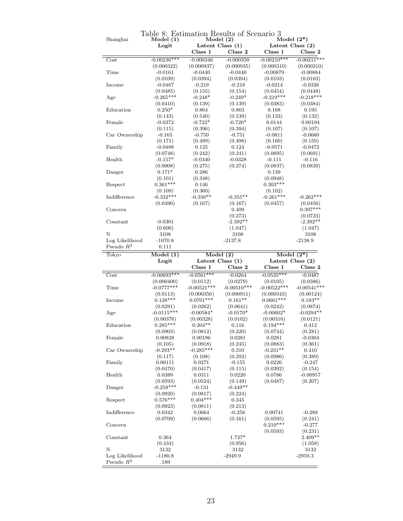| Shanghai        | Model(1)<br>Logit |               | Model(2)<br>Latent Class $(1)$ |               | Model $(2^*)$<br>Latent Class $(2)$ |
|-----------------|-------------------|---------------|--------------------------------|---------------|-------------------------------------|
|                 |                   | Class 1       | Class 2                        | Class 1       | $\rm{Class}$ $2$                    |
| Cost            | $-0.00236***$     | $-0.000346$   | $-0.000350$                    | $-0.00210***$ | $-0.00211***$                       |
|                 |                   | (0.000937)    | (0.000935)                     | (0.000310)    | (0.000310)                          |
|                 | (0.000322)        |               |                                |               |                                     |
| Time            | $-0.0161$         | $-0.0440$     | $-0.0440$                      | $-0.00879$    | $-0.00884$                          |
|                 | (0.0109)          | (0.0394)      | (0.0394)                       | (0.0103)      | (0.0103)                            |
| Income          | $-0.0487$         | $-0.219$      | $-0.218$                       | $-0.0214$     | $-0.0326$                           |
|                 | (0.0485)          | (0.155)       | (0.154)                        | (0.0454)      | (0.0448)                            |
| Age             | $-0.265***$       | $-0.248*$     | $-0.249*$                      | $-0.219***$   | $-0.218***$                         |
|                 | (0.0410)          | (0.139)       | (0.139)                        | (0.0383)      | (0.0384)                            |
| Education       | $0.250*$          | 0.864         | 0.863                          | 0.168         | 0.195                               |
|                 | (0.143)           | (0.540)       | (0.539)                        | (0.133)       | (0.132)                             |
| Female          | $-0.0372$         | $-0.722*$     | $-0.720*$                      | 0.0144        | 0.00194                             |
|                 | (0.115)           | (0.396)       | (0.394)                        | (0.107)       | (0.107)                             |
| Car Ownership   | $-0.165$          | $-0.750$      | $-0.751$                       | $-0.0811$     | $-0.0660$                           |
|                 |                   |               |                                |               |                                     |
|                 | (0.171)           | (0.499)       | (0.498)                        | (0.160)       | (0.159)                             |
| Family          | $-0.0488$         | 0.125         | 0.124                          | $-0.0571$     | $-0.0472$                           |
|                 | (0.0748)          | (0.242)       | (0.241)                        | (0.0695)      | (0.0691)                            |
| Health          | $-0.157*$         | $-0.0340$     | $-0.0328$                      | $-0.111$      | $-0.116$                            |
|                 | (0.0908)          | (0.275)       | (0.274)                        | (0.0837)      | (0.0839)                            |
| Danger          | $0.171*$          | 0.286         |                                | 0.139         |                                     |
|                 | (0.101)           | (0.348)       |                                | (0.0948)      |                                     |
| Respect         | $0.361***$        | $0.146\,$     |                                | $0.303***$    |                                     |
|                 | (0.109)           | (0.360)       |                                | (0.102)       |                                     |
| Indifference    | $-0.332***$       | $-0.356**$    | $-0.355**$                     | $-0.261***$   | $-0.262***$                         |
|                 |                   |               |                                |               |                                     |
|                 | (0.0490)          | (0.167)       | (0.167)                        | (0.0457)      | (0.0456)                            |
| Concern         |                   |               | 0.409                          |               | $0.397***$                          |
|                 |                   |               | (0.273)                        |               | (0.0723)                            |
| Constant        | $-0.0301$         |               | $-2.392**$                     |               | $-2.392**$                          |
|                 | (0.600)           |               | (1.047)                        |               | (1.047)                             |
| Ν               | 3108              |               | 3108                           |               | 3108                                |
| Log Likelihood  | $-1070.8$         |               | $-2137.8$                      |               | $-2138.9$                           |
|                 |                   |               |                                |               |                                     |
| Pseudo $R^2$    | 0.111             |               |                                |               |                                     |
|                 |                   |               |                                |               |                                     |
| Tokyo           | Model(1)          |               | Model(2)                       |               | Model $(2^*)$                       |
|                 | Logit             |               | Latent Class $(1)$             |               | Latent Class $(2)$                  |
|                 |                   | Class 1       | Class 2                        | Class 1       | Class 2                             |
| Cost            | $-0.00693***$     | $-0.0561***$  | $-0.0264$                      | $-0.0535***$  | $-0.0487$                           |
|                 | (0.000400)        | (0.0112)      | (0.0279)                       | (0.0105)      | (0.0386)                            |
| Time            | $-0.0777***$      | $-0.00521***$ | $-0.00510***$                  | $-0.00522***$ |                                     |
|                 | (0.0113)          | (0.000356)    | (0.000911)                     | (0.000343)    | (0.00124)                           |
| Income          | $0.128***$        | $0.0701***$   | $0.161**$                      | $0.0661***$   | $0.183**$                           |
|                 | (0.0291)          | (0.0262)      | (0.0641)                       | (0.0242)      | (0.0874)                            |
| Age             | $-0.0115***$      | $-0.00584*$   | $-0.0170*$                     | $-0.00602*$   | $-0.0294**$                         |
|                 | (0.00376)         | (0.00328)     | (0.0102)                       | (0.00316)     | (0.0121)                            |
| Education       |                   | $0.204**$     |                                |               | 0.412                               |
|                 | $0.285***$        |               | 0.116                          | $0.194***$    |                                     |
|                 | (0.0903)          | (0.0812)      | (0.220)                        | (0.0744)      | (0.281)                             |
| $\mbox{Female}$ | 0.00828           | 0.00196       | 0.0281                         | 0.0281        | $-0.0304$                           |
|                 | (0.105)           | (0.0918)      | (0.245)                        | (0.0883)      | (0.361)                             |
| Car Ownership   | $-0.293**$        | $-0.285***$   | 0.310                          | $-0.231**$    | 0.410                               |
|                 | (0.117)           | (0.108)       | (0.292)                        | (0.0986)      | (0.389)                             |
| Family          | 0.00111           | 0.0271        | $-0.155$                       | 0.0226        | $-0.247$                            |
|                 | (0.0470)          | (0.0417)      | (0.115)                        | (0.0392)      | (0.154)                             |
| Health          | 0.0389            | 0.0311        | 0.0220                         | 0.0786        | $-0.00957$                          |
|                 | (0.0593)          | (0.0524)      | (0.149)                        | (0.0487)      | $-0.00541***$<br>(0.207)            |
| Danger          | $-0.258***$       | $-0.131$      | $-0.449**$                     |               |                                     |
|                 |                   |               |                                |               |                                     |
|                 | (0.0920)          | (0.0817)      | (0.224)                        |               |                                     |
| Respect         | $0.576***$        | $0.404***$    | 0.345                          |               |                                     |
|                 | (0.0923)          | (0.0811)      | (0.213)                        |               |                                     |
| Indifference    | 0.0342            | 0.0664        | $-0.256$                       | 0.00741       | $-0.288$                            |
|                 | (0.0709)          | (0.0666)      | (0.161)                        | (0.0595)      | (0.241)                             |
| Concern         |                   |               |                                | $0.210***$    | $-0.277$                            |
|                 |                   |               |                                | (0.0593)      | (0.231)                             |
| Constant        | 0.364             |               | 1.727*                         |               | $2.409**$                           |
|                 | (0.434)           |               | (0.956)                        |               | (1.058)                             |
| Ν               |                   |               |                                |               |                                     |
| Log Likelihood  | 3132<br>$-1180.8$ |               | 3132<br>$-2949.9$              |               | 3132<br>$-2959.3$                   |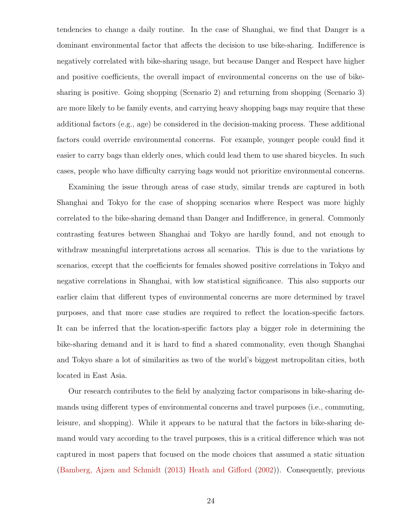tendencies to change a daily routine. In the case of Shanghai, we find that Danger is a dominant environmental factor that affects the decision to use bike-sharing. Indifference is negatively correlated with bike-sharing usage, but because Danger and Respect have higher and positive coefficients, the overall impact of environmental concerns on the use of bikesharing is positive. Going shopping (Scenario 2) and returning from shopping (Scenario 3) are more likely to be family events, and carrying heavy shopping bags may require that these additional factors (e.g., age) be considered in the decision-making process. These additional factors could override environmental concerns. For example, younger people could find it easier to carry bags than elderly ones, which could lead them to use shared bicycles. In such cases, people who have difficulty carrying bags would not prioritize environmental concerns.

Examining the issue through areas of case study, similar trends are captured in both Shanghai and Tokyo for the case of shopping scenarios where Respect was more highly correlated to the bike-sharing demand than Danger and Indifference, in general. Commonly contrasting features between Shanghai and Tokyo are hardly found, and not enough to withdraw meaningful interpretations across all scenarios. This is due to the variations by scenarios, except that the coefficients for females showed positive correlations in Tokyo and negative correlations in Shanghai, with low statistical significance. This also supports our earlier claim that different types of environmental concerns are more determined by travel purposes, and that more case studies are required to reflect the location-specific factors. It can be inferred that the location-specific factors play a bigger role in determining the bike-sharing demand and it is hard to find a shared commonality, even though Shanghai and Tokyo share a lot of similarities as two of the world's biggest metropolitan cities, both located in East Asia.

Our research contributes to the field by analyzing factor comparisons in bike-sharing demands using different types of environmental concerns and travel purposes (i.e., commuting, leisure, and shopping). While it appears to be natural that the factors in bike-sharing demand would vary according to the travel purposes, this is a critical difference which was not captured in most papers that focused on the mode choices that assumed a static situation (Bamberg, Ajzen and Schmidt (2013) Heath and Gifford (2002)). Consequently, previous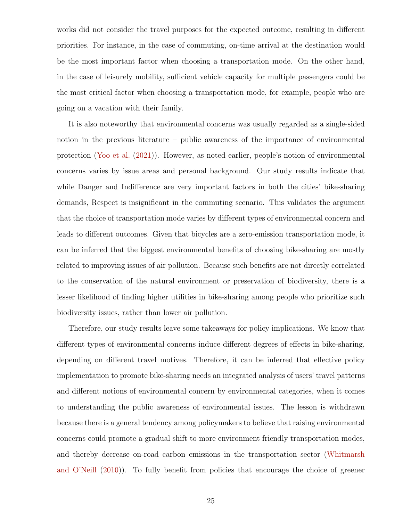works did not consider the travel purposes for the expected outcome, resulting in different priorities. For instance, in the case of commuting, on-time arrival at the destination would be the most important factor when choosing a transportation mode. On the other hand, in the case of leisurely mobility, sufficient vehicle capacity for multiple passengers could be the most critical factor when choosing a transportation mode, for example, people who are going on a vacation with their family.

It is also noteworthy that environmental concerns was usually regarded as a single-sided notion in the previous literature – public awareness of the importance of environmental protection (Yoo et al. (2021)). However, as noted earlier, people's notion of environmental concerns varies by issue areas and personal background. Our study results indicate that while Danger and Indifference are very important factors in both the cities' bike-sharing demands, Respect is insignificant in the commuting scenario. This validates the argument that the choice of transportation mode varies by different types of environmental concern and leads to different outcomes. Given that bicycles are a zero-emission transportation mode, it can be inferred that the biggest environmental benefits of choosing bike-sharing are mostly related to improving issues of air pollution. Because such benefits are not directly correlated to the conservation of the natural environment or preservation of biodiversity, there is a lesser likelihood of finding higher utilities in bike-sharing among people who prioritize such biodiversity issues, rather than lower air pollution.

Therefore, our study results leave some takeaways for policy implications. We know that different types of environmental concerns induce different degrees of effects in bike-sharing, depending on different travel motives. Therefore, it can be inferred that effective policy implementation to promote bike-sharing needs an integrated analysis of users' travel patterns and different notions of environmental concern by environmental categories, when it comes to understanding the public awareness of environmental issues. The lesson is withdrawn because there is a general tendency among policymakers to believe that raising environmental concerns could promote a gradual shift to more environment friendly transportation modes, and thereby decrease on-road carbon emissions in the transportation sector (Whitmarsh and O'Neill (2010)). To fully benefit from policies that encourage the choice of greener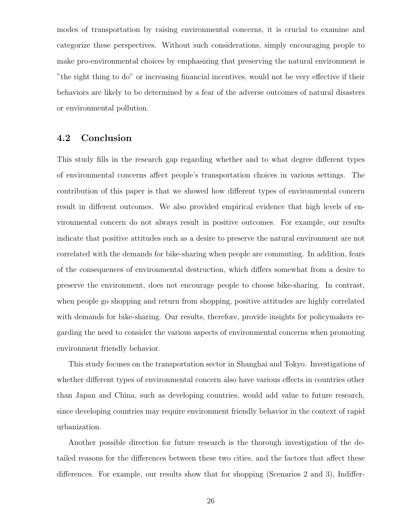modes of transportation by raising environmental concerns, it is crucial to examine and categorize these perspectives. Without such considerations, simply encouraging people to make pro-environmental choices by emphasizing that preserving the natural environment is "the right thing to do" or increasing financial incentives, would not be very effective if their behaviors are likely to be determined by a fear of the adverse outcomes of natural disasters or environmental pollution.

#### 4.2 Conclusion

This study fills in the research gap regarding whether and to what degree different types of environmental concerns affect people's transportation choices in various settings. The contribution of this paper is that we showed how different types of environmental concern result in different outcomes. We also provided empirical evidence that high levels of environmental concern do not always result in positive outcomes. For example, our results indicate that positive attitudes such as a desire to preserve the natural environment are not correlated with the demands for bike-sharing when people are commuting. In addition, fears of the consequences of environmental destruction, which differs somewhat from a desire to preserve the environment, does not encourage people to choose bike-sharing. In contrast, when people go shopping and return from shopping, positive attitudes are highly correlated with demands for bike-sharing. Our results, therefore, provide insights for policymakers regarding the need to consider the various aspects of environmental concerns when promoting environment friendly behavior.

This study focuses on the transportation sector in Shanghai and Tokyo. Investigations of whether different types of environmental concern also have various effects in countries other than Japan and China, such as developing countries, would add value to future research, since developing countries may require environment friendly behavior in the context of rapid urbanization.

Another possible direction for future research is the thorough investigation of the detailed reasons for the differences between these two cities, and the factors that affect these differences. For example, our results show that for shopping (Scenarios 2 and 3), Indiffer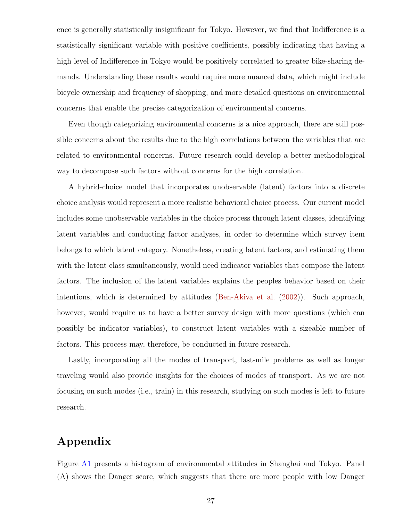ence is generally statistically insignificant for Tokyo. However, we find that Indifference is a statistically significant variable with positive coefficients, possibly indicating that having a high level of Indifference in Tokyo would be positively correlated to greater bike-sharing demands. Understanding these results would require more nuanced data, which might include bicycle ownership and frequency of shopping, and more detailed questions on environmental concerns that enable the precise categorization of environmental concerns.

Even though categorizing environmental concerns is a nice approach, there are still possible concerns about the results due to the high correlations between the variables that are related to environmental concerns. Future research could develop a better methodological way to decompose such factors without concerns for the high correlation.

A hybrid-choice model that incorporates unobservable (latent) factors into a discrete choice analysis would represent a more realistic behavioral choice process. Our current model includes some unobservable variables in the choice process through latent classes, identifying latent variables and conducting factor analyses, in order to determine which survey item belongs to which latent category. Nonetheless, creating latent factors, and estimating them with the latent class simultaneously, would need indicator variables that compose the latent factors. The inclusion of the latent variables explains the peoples behavior based on their intentions, which is determined by attitudes (Ben-Akiva et al. (2002)). Such approach, however, would require us to have a better survey design with more questions (which can possibly be indicator variables), to construct latent variables with a sizeable number of factors. This process may, therefore, be conducted in future research.

Lastly, incorporating all the modes of transport, last-mile problems as well as longer traveling would also provide insights for the choices of modes of transport. As we are not focusing on such modes (i.e., train) in this research, studying on such modes is left to future research.

# Appendix

Figure A1 presents a histogram of environmental attitudes in Shanghai and Tokyo. Panel (A) shows the Danger score, which suggests that there are more people with low Danger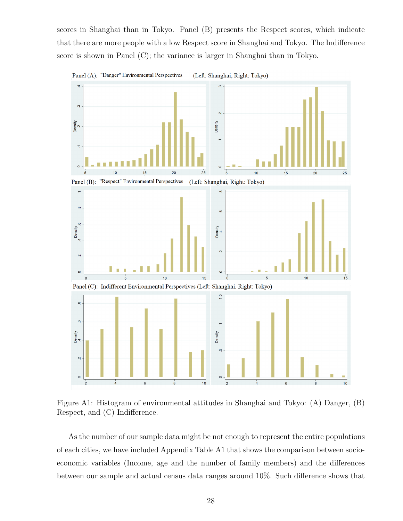scores in Shanghai than in Tokyo. Panel (B) presents the Respect scores, which indicate that there are more people with a low Respect score in Shanghai and Tokyo. The Indifference score is shown in Panel (C); the variance is larger in Shanghai than in Tokyo.



Figure A1: Histogram of environmental attitudes in Shanghai and Tokyo: (A) Danger, (B) Respect, and (C) Indifference.

As the number of our sample data might be not enough to represent the entire populations of each cities, we have included Appendix Table A1 that shows the comparison between socioeconomic variables (Income, age and the number of family members) and the differences between our sample and actual census data ranges around 10%. Such difference shows that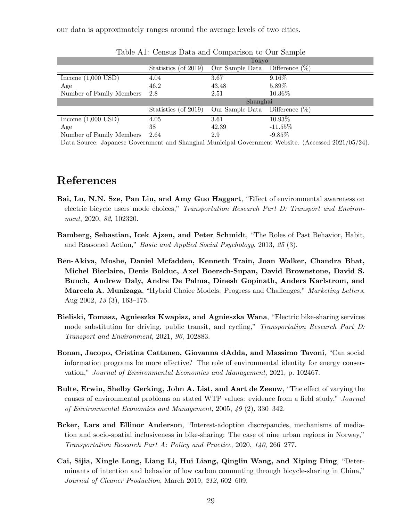| Table A1: Census Data and Comparison to Our Sample |                      |                 |                   |  |  |  |  |
|----------------------------------------------------|----------------------|-----------------|-------------------|--|--|--|--|
|                                                    | Tokyo                |                 |                   |  |  |  |  |
|                                                    | Statistics (of 2019) | Our Sample Data | Difference $(\%)$ |  |  |  |  |
| Income $(1,000$ USD)                               | 4.04                 | 3.67            | 9.16%             |  |  |  |  |
| Age                                                | 46.2                 | 43.48           | 5.89%             |  |  |  |  |
| Number of Family Members                           | 2.8                  | 2.51            | 10.36%            |  |  |  |  |
|                                                    |                      | Shanghai        |                   |  |  |  |  |
|                                                    | Statistics (of 2019) | Our Sample Data | Difference $(\%)$ |  |  |  |  |
| Income $(1,\overline{000 \text{ USD}})$            | 4.05                 | 3.61            | 10.93%            |  |  |  |  |
| Age                                                | 38                   | 42.39           | $-11.55\%$        |  |  |  |  |
| Number of Family Members                           | 2.64                 | 2.9             | $-9.85\%$         |  |  |  |  |

our data is approximately ranges around the average levels of two cities.

Data Source: Japanese Government and Shanghai Municipal Government Website. (Accessed 2021/05/24).

## References

- Bai, Lu, N.N. Sze, Pan Liu, and Amy Guo Haggart, "Effect of environmental awareness on electric bicycle users mode choices," Transportation Research Part D: Transport and Environment, 2020, 82, 102320.
- Bamberg, Sebastian, Icek Ajzen, and Peter Schmidt, "The Roles of Past Behavior, Habit, and Reasoned Action," Basic and Applied Social Psychology, 2013, 25 (3).
- Ben-Akiva, Moshe, Daniel Mcfadden, Kenneth Train, Joan Walker, Chandra Bhat, Michel Bierlaire, Denis Bolduc, Axel Boersch-Supan, David Brownstone, David S. Bunch, Andrew Daly, Andre De Palma, Dinesh Gopinath, Anders Karlstrom, and Marcela A. Munizaga, "Hybrid Choice Models: Progress and Challenges," Marketing Letters, Aug 2002, 13 (3), 163–175.
- Bieliski, Tomasz, Agnieszka Kwapisz, and Agnieszka Wana, "Electric bike-sharing services mode substitution for driving, public transit, and cycling," Transportation Research Part D: Transport and Environment, 2021, 96, 102883.
- Bonan, Jacopo, Cristina Cattaneo, Giovanna dAdda, and Massimo Tavoni, "Can social information programs be more effective? The role of environmental identity for energy conservation," Journal of Environmental Economics and Management, 2021, p. 102467.
- Bulte, Erwin, Shelby Gerking, John A. List, and Aart de Zeeuw, "The effect of varying the causes of environmental problems on stated WTP values: evidence from a field study," Journal of Environmental Economics and Management, 2005, 49 (2), 330–342.
- Bcker, Lars and Ellinor Anderson, "Interest-adoption discrepancies, mechanisms of mediation and socio-spatial inclusiveness in bike-sharing: The case of nine urban regions in Norway," Transportation Research Part A: Policy and Practice, 2020, 140, 266–277.
- Cai, Sijia, Xingle Long, Liang Li, Hui Liang, Qinglin Wang, and Xiping Ding, "Determinants of intention and behavior of low carbon commuting through bicycle-sharing in China," Journal of Cleaner Production, March 2019, 212, 602–609.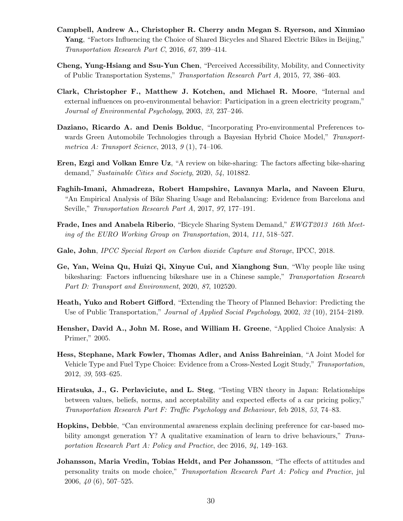- Campbell, Andrew A., Christopher R. Cherry andn Megan S. Ryerson, and Xinmiao Yang, "Factors Influencing the Choice of Shared Bicycles and Shared Electric Bikes in Beijing," Transportation Research Part C, 2016, 67, 399–414.
- Cheng, Yung-Hsiang and Ssu-Yun Chen, "Perceived Accessibility, Mobility, and Connectivity of Public Transportation Systems," Transportation Research Part A, 2015, 77, 386–403.
- Clark, Christopher F., Matthew J. Kotchen, and Michael R. Moore, "Internal and external influences on pro-environmental behavior: Participation in a green electricity program," Journal of Environmental Psychology, 2003, 23, 237–246.
- Daziano, Ricardo A. and Denis Bolduc, "Incorporating Pro-environmental Preferences towards Green Automobile Technologies through a Bayesian Hybrid Choice Model," Transportmetrica A: Transport Science, 2013,  $9(1)$ , 74-106.
- Eren, Ezgi and Volkan Emre Uz, "A review on bike-sharing: The factors affecting bike-sharing demand," Sustainable Cities and Society, 2020, 54, 101882.
- Faghih-Imani, Ahmadreza, Robert Hampshire, Lavanya Marla, and Naveen Eluru, "An Empirical Analysis of Bike Sharing Usage and Rebalancing: Evidence from Barcelona and Seville," Transportation Research Part A, 2017, 97, 177–191.
- Frade, Ines and Anabela Riberio, "Bicycle Sharing System Demand," EWGT2013 16th Meeting of the EURO Working Group on Transportation, 2014, 111, 518–527.
- Gale, John, *IPCC Special Report on Carbon dioxide Capture and Storage*, *IPCC*, 2018.
- Ge, Yan, Weina Qu, Huizi Qi, Xinyue Cui, and Xianghong Sun, "Why people like using bikesharing: Factors influencing bikeshare use in a Chinese sample," Transportation Research Part D: Transport and Environment, 2020, 87, 102520.
- Heath, Yuko and Robert Gifford, "Extending the Theory of Planned Behavior: Predicting the Use of Public Transportation," Journal of Applied Social Psychology, 2002, 32 (10), 2154–2189.
- Hensher, David A., John M. Rose, and William H. Greene, "Applied Choice Analysis: A Primer," 2005.
- Hess, Stephane, Mark Fowler, Thomas Adler, and Aniss Bahreinian, "A Joint Model for Vehicle Type and Fuel Type Choice: Evidence from a Cross-Nested Logit Study," Transportation, 2012, 39, 593–625.
- Hiratsuka, J., G. Perlaviciute, and L. Steg, "Testing VBN theory in Japan: Relationships between values, beliefs, norms, and acceptability and expected effects of a car pricing policy," Transportation Research Part F: Traffic Psychology and Behaviour, feb 2018, 53, 74–83.
- Hopkins, Debbie, "Can environmental awareness explain declining preference for car-based mobility amongst generation Y? A qualitative examination of learn to drive behaviours," Transportation Research Part A: Policy and Practice, dec 2016, 94, 149–163.
- Johansson, Maria Vredin, Tobias Heldt, and Per Johansson, "The effects of attitudes and personality traits on mode choice," Transportation Research Part A: Policy and Practice, jul 2006, 40 (6), 507–525.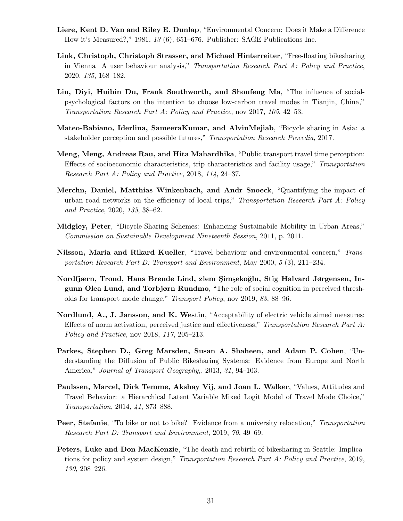- Liere, Kent D. Van and Riley E. Dunlap, "Environmental Concern: Does it Make a Difference How it's Measured?," 1981, 13 (6), 651–676. Publisher: SAGE Publications Inc.
- Link, Christoph, Christoph Strasser, and Michael Hinterreiter, "Free-floating bikesharing in Vienna A user behaviour analysis," Transportation Research Part A: Policy and Practice, 2020, 135, 168–182.
- Liu, Diyi, Huibin Du, Frank Southworth, and Shoufeng Ma, "The influence of socialpsychological factors on the intention to choose low-carbon travel modes in Tianjin, China," Transportation Research Part A: Policy and Practice, nov 2017, 105, 42–53.
- Mateo-Babiano, Iderlina, SameeraKumar, and AlvinMejiab, "Bicycle sharing in Asia: a stakeholder perception and possible futures," Transportation Research Procedia, 2017.
- Meng, Meng, Andreas Rau, and Hita Mahardhika, "Public transport travel time perception: Effects of socioeconomic characteristics, trip characteristics and facility usage," Transportation Research Part A: Policy and Practice, 2018, 114, 24–37.
- Merchn, Daniel, Matthias Winkenbach, and Andr Snoeck, "Quantifying the impact of urban road networks on the efficiency of local trips," Transportation Research Part A: Policy and Practice, 2020, 135, 38–62.
- Midgley, Peter, "Bicycle-Sharing Schemes: Enhancing Sustainabile Mobility in Urban Areas," Commission on Sustainable Development Nineteenth Session, 2011, p. 2011.
- Nilsson, Maria and Rikard Kueller, "Travel behaviour and environmental concern," Transportation Research Part D: Transport and Environment, May 2000, 5 (3), 211–234.
- Nordfjærn, Trond, Hans Brende Lind, zlem Şimşekoğlu, Stig Halvard Jørgensen, Ingunn Olea Lund, and Torbjørn Rundmo, "The role of social cognition in perceived thresholds for transport mode change," Transport Policy, nov 2019, 83, 88–96.
- Nordlund, A., J. Jansson, and K. Westin, "Acceptability of electric vehicle aimed measures: Effects of norm activation, perceived justice and effectiveness," Transportation Research Part A: Policy and Practice, nov 2018, 117, 205–213.
- Parkes, Stephen D., Greg Marsden, Susan A. Shaheen, and Adam P. Cohen, "Understanding the Diffusion of Public Bikesharing Systems: Evidence from Europe and North America," Journal of Transport Geography,, 2013, 31, 94–103.
- Paulssen, Marcel, Dirk Temme, Akshay Vij, and Joan L. Walker, "Values, Attitudes and Travel Behavior: a Hierarchical Latent Variable Mixed Logit Model of Travel Mode Choice," Transportation, 2014, 41, 873–888.
- Peer, Stefanie, "To bike or not to bike? Evidence from a university relocation," Transportation Research Part D: Transport and Environment, 2019, 70, 49–69.
- Peters, Luke and Don MacKenzie, "The death and rebirth of bikesharing in Seattle: Implications for policy and system design," Transportation Research Part A: Policy and Practice, 2019, 130, 208–226.